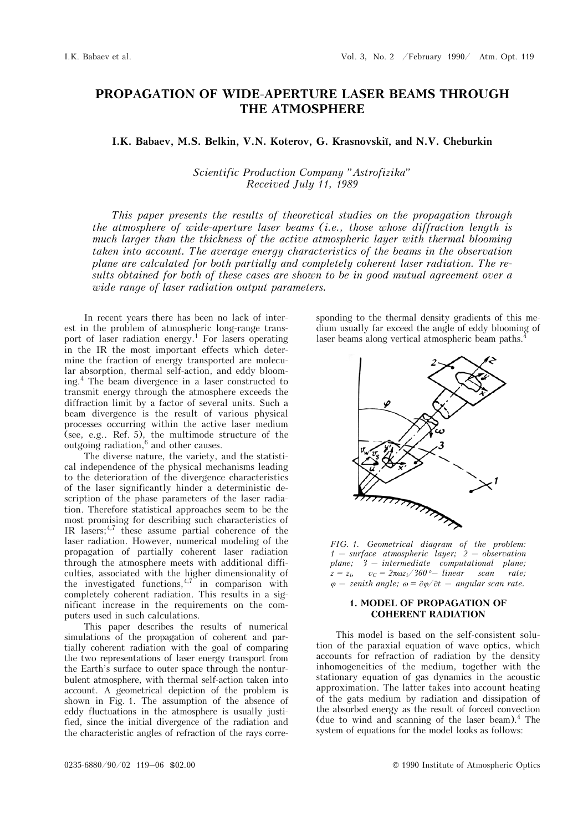## **PROPAGATION OF WIDE-APERTURE LASER BEAMS THROUGH THE ATMOSPHERE**

**I.K. Babaev, M.S. Belkin, V.N. Koterov, G. Krasnovskiĭ, and N.V. Cheburkin** 

*Scientific Production Company "Astrofizika" Received July 11, 1989* 

*This paper presents the results of theoretical studies on the propagation through the atmosphere of wide-aperture laser beams (i.e., those whose diffraction length is much larger than the thickness of the active atmospheric layer with thermal blooming taken into account. The average energy characteristics of the beams in the observation plane are calculated for both partially and completely coherent laser radiation. The results obtained for both of these cases are shown to be in good mutual agreement over a wide range of laser radiation output parameters.* 

In recent years there has been no lack of interest in the problem of atmospheric long-range transport of laser radiation energy.<sup>1</sup> For lasers operating in the IR the most important effects which determine the fraction of energy transported are molecular absorption, thermal self-action, and eddy blooming.4 The beam divergence in a laser constructed to transmit energy through the atmosphere exceeds the diffraction limit by a factor of several units. Such a beam divergence is the result of various physical processes occurring within the active laser medium (see, e.g.. Ref. 5), the multimode structure of the outgoing radiation,<sup>6</sup> and other causes.

The diverse nature, the variety, and the statistical independence of the physical mechanisms leading to the deterioration of the divergence characteristics of the laser significantly hinder a deterministic description of the phase parameters of the laser radiation. Therefore statistical approaches seem to be the most promising for describing such characteristics of IR lasers; $4,7$  these assume partial coherence of the laser radiation. However, numerical modeling of the propagation of partially coherent laser radiation through the atmosphere meets with additional difficulties, associated with the higher dimensionality of the investigated functions,  $4.7$  in comparison with completely coherent radiation. This results in a significant increase in the requirements on the computers used in such calculations.

This paper describes the results of numerical simulations of the propagation of coherent and partially coherent radiation with the goal of comparing the two representations of laser energy transport from the Earth's surface to outer space through the nonturbulent atmosphere, with thermal self-action taken into account. A geometrical depiction of the problem is shown in Fig. 1. The assumption of the absence of eddy fluctuations in the atmosphere is usually justified, since the initial divergence of the radiation and the characteristic angles of refraction of the rays corresponding to the thermal density gradients of this medium usually far exceed the angle of eddy blooming of laser beams along vertical atmospheric beam paths.<sup>4</sup>



*FIG. 1. Geometrical diagram of the problem: 1 — surface atmospheric layer; 2 — observation plane; 3 — intermediate computational plane;*   $z = z_i$ ,  $v_c = 2\pi\omega z_i/360^\circ$ — linear scan rate;  $\varphi$  – *zenith angle;*  $\omega = \partial \varphi / \partial t$  – *angular scan rate.* 

### **1. MODEL OF PROPAGATION OF COHERENT RADIATION**

This model is based on the self-consistent solution of the paraxial equation of wave optics, which accounts for refraction of radiation by the density inhomogeneities of the medium, together with the stationary equation of gas dynamics in the acoustic approximation. The latter takes into account heating of the gats medium by radiation and dissipation of the absorbed energy as the result of forced convection (due to wind and scanning of the laser beam). $4$  The system of equations for the model looks as follows: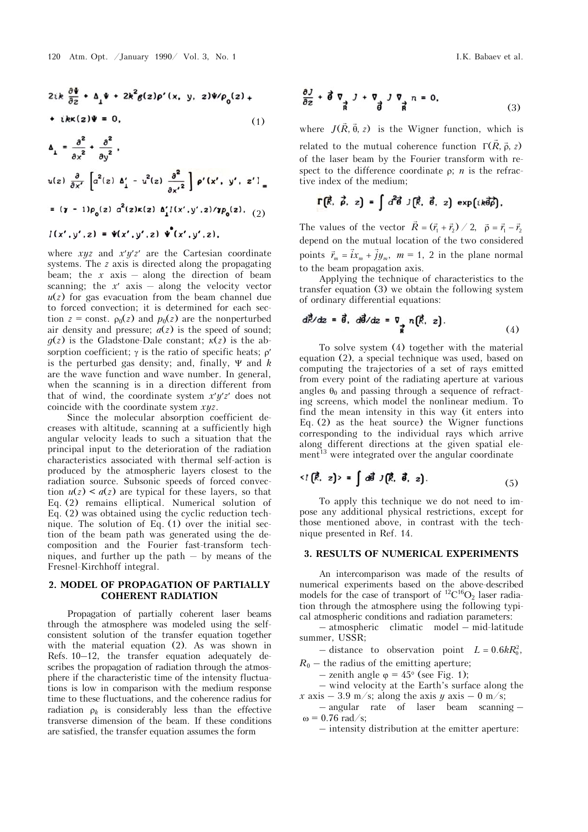$$
2ik\frac{\partial\Psi}{\partial z} + \Delta_{\perp}\Psi + 2k^2g(z)\rho'(x, y, z)\Psi/\rho_0(z) +
$$
  
+ ikk(z)\Psi = 0, (1)

 $\Delta_{\perp} = \frac{\partial^2}{\partial x^2} + \frac{\partial^2}{\partial y^2}$  $u(z)$   $\frac{\partial}{\partial x'}$   $\left[a^2(z)$   $\Delta'_1 - u^2(z)$   $\frac{\partial^2}{\partial {x'}^2}\right]$   $\rho'(x', y', z')$ =  $(\gamma - 1)\rho_0(z) a^2(z)\kappa(z) \Delta'_1 I(x',y',z)/\gamma \rho_0(z),$  (2)

# $I(x', y', z) = \Psi(x', y', z) \Psi(x', y', z),$

where *xyz* and *xyz* are the Cartesian coordinate systems. The *z* axis is directed along the propagating beam; the  $x$  axis  $-$  along the direction of beam scanning; the  $x'$  axis – along the velocity vector  $u(z)$  for gas evacuation from the beam channel due to forced convection; it is determined for each section  $z =$  const.  $\rho_0(z)$  and  $p_0(z)$  are the nonperturbed air density and pressure;  $a(z)$  is the speed of sound;  $q(z)$  is the Gladstone-Dale constant;  $k(z)$  is the absorption coefficient;  $\gamma$  is the ratio of specific heats;  $\rho'$ is the perturbed gas density; and, finally,  $\Psi$  and  $k$ are the wave function and wave number. In general, when the scanning is in a direction different from that of wind, the coordinate system  $x'y'z'$  does not coincide with the coordinate system *xyz*.

Since the molecular absorption coefficient decreases with altitude, scanning at a sufficiently high angular velocity leads to such a situation that the principal input to the deterioration of the radiation characteristics associated with thermal self-action is produced by the atmospheric layers closest to the radiation source. Subsonic speeds of forced convection  $u(z) < a(z)$  are typical for these layers, so that Eq. (2) remains elliptical. Numerical solution of Eq. (2) was obtained using the cyclic reduction technique. The solution of Eq. (1) over the initial section of the beam path was generated using the decomposition and the Fourier fast-transform techniques, and further up the path  $-$  by means of the Fresnel-Kirchhoff integral.

#### **2. MODEL OF PROPAGATION OF PARTIALLY COHERENT RADIATION**

Propagation of partially coherent laser beams through the atmosphere was modeled using the selfconsistent solution of the transfer equation together with the material equation (2). As was shown in Refs. 10–12, the transfer equation adequately describes the propagation of radiation through the atmosphere if the characteristic time of the intensity fluctuations is low in comparison with the medium response time to these fluctuations, and the coherence radius for radiation  $\rho_k$  is considerably less than the effective transverse dimension of the beam. If these conditions are satisfied, the transfer equation assumes the form

$$
\frac{\partial J}{\partial z} + \vec{\theta} \nabla \nabla J + \nabla J \nabla n = 0,
$$
\n(3)

where  $J(\vec{R}, \vec{\theta}, z)$  is the Wigner function, which is related to the mutual coherence function  $\Gamma(\vec{R},\vec{\rho},z)$ of the laser beam by the Fourier transform with respect to the difference coordinate  $\rho$ ; *n* is the refractive index of the medium;

$$
\Gamma(\vec{R}, \vec{\rho}, z) = \int d^2\vec{\theta} \, J(\vec{R}, \vec{\theta}, z) \, \exp\left(i k \vec{\theta} \vec{\rho}\right),
$$

The values of the vector  $\vec{R} = (\vec{r}_1 + \vec{r}_2) / 2$ ,  $\vec{\rho} = \vec{r}_1 - \vec{r}_2$ depend on the mutual location of the two considered points  $\vec{r}_m = \vec{i}x_m + \vec{j}y_m$ ,  $m = 1$ , 2 in the plane normal to the beam propagation axis.

Applying the technique of characteristics to the transfer equation (3) we obtain the following system of ordinary differential equations:

$$
d\vec{R}/dz = \vec{\theta}, \ d\vec{\theta}/dz = \nabla \cdot n(\vec{R}, z). \tag{4}
$$

To solve system (4) together with the material equation (2), a special technique was used, based on computing the trajectories of a set of rays emitted from every point of the radiating aperture at various angles  $\theta_0$  and passing through a sequence of refracting screens, which model the nonlinear medium. To find the mean intensity in this way (it enters into Eq. (2) as the heat source) the Wigner functions corresponding to the individual rays which arrive along different directions at the given spatial ele $m_{\text{eff}}$ <sup>3</sup> were integrated over the angular coordinate

$$
\langle I(\vec{R}, z) \rangle = \int d\vec{\theta} J(\vec{R}, \vec{\theta}, z). \tag{5}
$$

To apply this technique we do not need to impose any additional physical restrictions, except for those mentioned above, in contrast with the technique presented in Ref. 14.

#### **3. RESULTS OF NUMERICAL EXPERIMENTS**

An intercomparison was made of the results of numerical experiments based on the above-described models for the case of transport of  ${}^{12}C^{16}O_2$  laser radiation through the atmosphere using the following typical atmospheric conditions and radiation parameters:

– atmospheric climatic model – mid-latitude summer, USSR;

– distance to observation point  $L = 0.6 kR_0^2$ ,

 $R_0$  – the radius of the emitting aperture;

– zenith angle  $\varphi = 45^{\circ}$  (see Fig. 1);

– wind velocity at the Earth's surface along the *x* axis – 3.9 m/s; along the axis *y* axis – 0 m/s;

– angular rate of laser beam scanning –  $\omega$  = 0.76 rad/s;

– intensity distribution at the emitter aperture: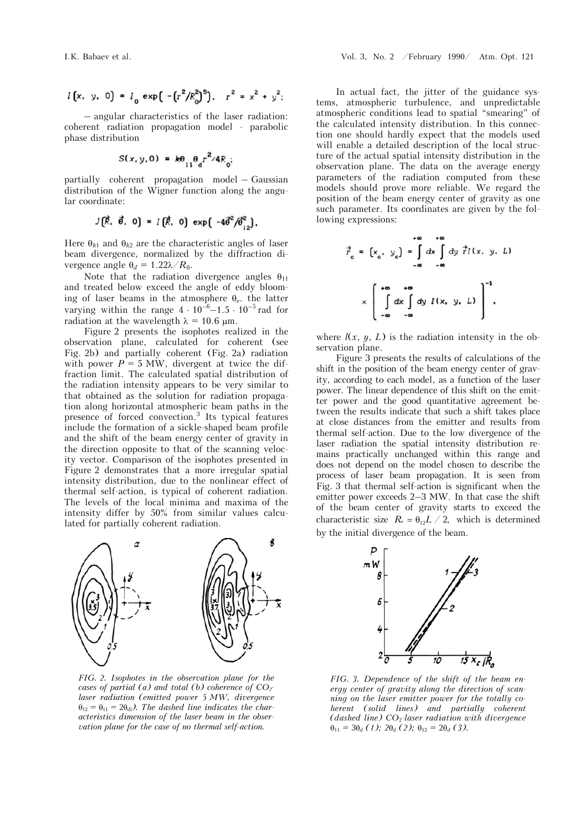$$
I(x, y, 0) = I_0 \exp\left(-\left(r^2/R_0^2\right)^5\right), r^2 = x^2 + y^2;
$$

– angular characteristics of the laser radiation: coherent radiation propagation model - parabolic phase distribution

$$
S(x, y, 0) = k\theta_{11}\theta_{d}r^{2}/4R_{0}
$$

partially coherent propagation model – Gaussian distribution of the Wigner function along the angular coordinate:

$$
J(\vec{R}, \vec{\theta}, 0) = I(\vec{R}, 0) \exp(-4\vec{\theta}^2/\vec{\theta}^2),
$$

Here  $\theta_{k1}$  and  $\theta_{k2}$  are the characteristic angles of laser beam divergence, normalized by the diffraction divergence angle  $\theta_d = 1.22\lambda/R_0$ .

Note that the radiation divergence angles  $\theta_{11}$ and treated below exceed the angle of eddy blooming of laser beams in the atmosphere  $\theta_e$ , the latter varying within the range  $4 \cdot 10^{-6} - 1.5 \cdot 10^{-5}$  rad for radiation at the wavelength  $\lambda = 10.6 \text{ }\mu\text{m}$ .

Figure 2 presents the isophotes realized in the observation plane, calculated for coherent (see Fig. 2b) and partially coherent (Fig. 2a) radiation with power  $P = 5$  MW, divergent at twice the diffraction limit. The calculated spatial distribution of the radiation intensity appears to be very similar to that obtained as the solution for radiation propagation along horizontal atmospheric beam paths in the presence of forced convection.3 Its typical features include the formation of a sickle-shaped beam profile and the shift of the beam energy center of gravity in the direction opposite to that of the scanning velocity vector. Comparison of the isophotes presented in Figure 2 demonstrates that a more irregular spatial intensity distribution, due to the nonlinear effect of thermal self-action, is typical of coherent radiation. The levels of the local minima and maxima of the intensity differ by 50% from similar values calculated for partially coherent radiation.



*FIG. 2. Isophotes in the observation plane for the cases of partial (a) and total (b) coherence of CO<sub>2</sub>laser radiation (emitted power 5 MW, divergence*   $\theta_{12} = \theta_{11} = 2\theta_{d}$ . The dashed line indicates the char*acteristics dimension of the laser beam in the observation plane for the case of no thermal self-action.*

In actual fact, the jitter of the guidance systems, atmospheric turbulence, and unpredictable atmospheric conditions lead to spatial "smearing" of the calculated intensity distribution. In this connection one should hardly expect that the models used will enable a detailed description of the local structure of the actual spatial intensity distribution in the observation plane. The data on the average energy parameters of the radiation computed from these models should prove more reliable. We regard the position of the beam energy center of gravity as one such parameter. Its coordinates are given by the following expressions:

$$
\vec{r}_c = \left(x_c, y_c\right) = \int_{-\infty}^{+\infty} dx \int_{-\infty}^{+\infty} dy \vec{r} I(x, y, L)
$$

$$
\times \left[\int_{-\infty}^{+\infty} dx \int_{-\infty}^{+\infty} dy I(x, y, L)\right]^{-1},
$$

where  $l(x, y, L)$  is the radiation intensity in the observation plane.

Figure 3 presents the results of calculations of the shift in the position of the beam energy center of gravity, according to each model, as a function of the laser power. The linear dependence of this shift on the emitter power and the good quantitative agreement between the results indicate that such a shift takes place at close distances from the emitter and results from thermal self-action. Due to the low divergence of the laser radiation the spatial intensity distribution remains practically unchanged within this range and does not depend on the model chosen to describe the process of laser beam propagation. It is seen from Fig. 3 that thermal self-action is significant when the emitter power exceeds 2–3 MW. In that case the shift of the beam center of gravity starts to exceed the characteristic size  $R_* = \theta_{12} L / 2$ , which is determined by the initial divergence of the beam.



*FIG. 3. Dependence of the shift of the beam energy center of gravity along the direction of scanning on the laser emitter power for the totally coherent (solid lines) and partially coherent (dashed line) CO*2*-laser radiation with divergence*   $\theta_{11} = 3\theta_d$  (1);  $2\theta_d$  (2);  $\theta_{12} = 2\theta_d$  (3).